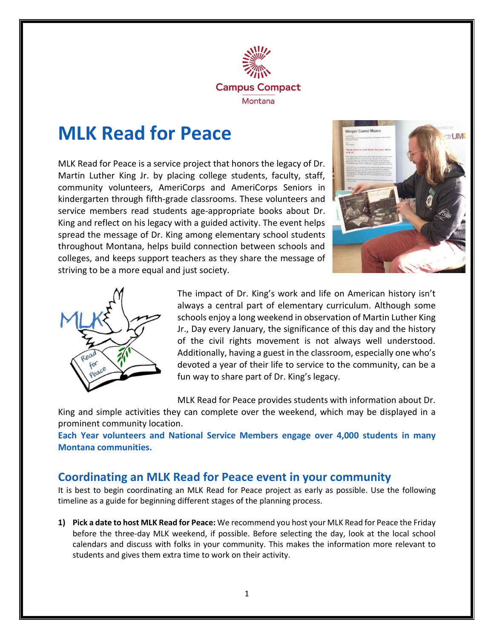

# **MLK Read for Peace**

MLK Read for Peace is a service project that honors the legacy of Dr. Martin Luther King Jr. by placing college students, faculty, staff, community volunteers, AmeriCorps and AmeriCorps Seniors in kindergarten through fifth-grade classrooms. These volunteers and service members read students age-appropriate books about Dr. King and reflect on his legacy with a guided activity. The event helps spread the message of Dr. King among elementary school students throughout Montana, helps build connection between schools and colleges, and keeps support teachers as they share the message of striving to be a more equal and just society.





The impact of Dr. King's work and life on American history isn't always a central part of elementary curriculum. Although some schools enjoy a long weekend in observation of Martin Luther King Jr., Day every January, the significance of this day and the history of the civil rights movement is not always well understood. Additionally, having a guest in the classroom, especially one who's devoted a year of their life to service to the community, can be a fun way to share part of Dr. King's legacy.

MLK Read for Peace provides students with information about Dr.

King and simple activities they can complete over the weekend, which may be displayed in a prominent community location.

**Each Year volunteers and National Service Members engage over 4,000 students in many Montana communities.** 

### **Coordinating an MLK Read for Peace event in your community**

It is best to begin coordinating an MLK Read for Peace project as early as possible. Use the following timeline as a guide for beginning different stages of the planning process.

**1) Pick a date to host MLK Read for Peace:** We recommend you host your MLK Read for Peace the Friday before the three-day MLK weekend, if possible. Before selecting the day, look at the local school calendars and discuss with folks in your community. This makes the information more relevant to students and gives them extra time to work on their activity.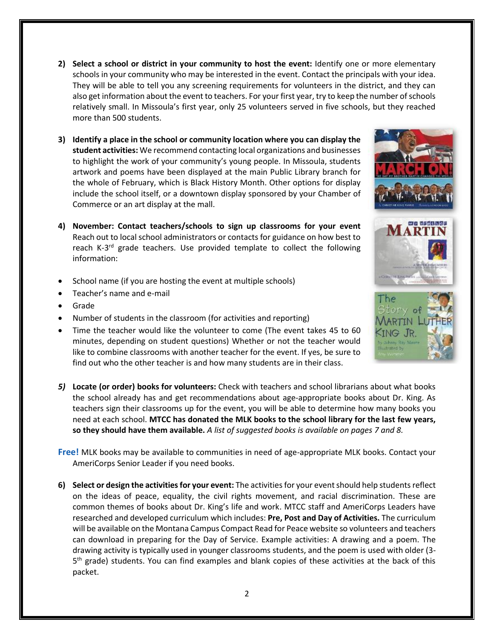- **2) Select a school or district in your community to host the event:** Identify one or more elementary schools in your community who may be interested in the event. Contact the principals with your idea. They will be able to tell you any screening requirements for volunteers in the district, and they can also get information about the event to teachers. For your first year, try to keep the number of schools relatively small. In Missoula's first year, only 25 volunteers served in five schools, but they reached more than 500 students.
- **3) Identify a place in the school or community location where you can display the student activities:** We recommend contacting local organizations and businesses to highlight the work of your community's young people. In Missoula, students artwork and poems have been displayed at the main Public Library branch for the whole of February, which is Black History Month. Other options for display include the school itself, or a downtown display sponsored by your Chamber of Commerce or an art display at the mall.
- **4) November: Contact teachers/schools to sign up classrooms for your event** Reach out to local school administrators or contacts for guidance on how best to reach K-3<sup>rd</sup> grade teachers. Use provided template to collect the following information:
- School name (if you are hosting the event at multiple schools)
- Teacher's name and e-mail
- Grade
- Number of students in the classroom (for activities and reporting)
- Time the teacher would like the volunteer to come (The event takes 45 to 60 minutes, depending on student questions) Whether or not the teacher would like to combine classrooms with another teacher for the event. If yes, be sure to find out who the other teacher is and how many students are in their class.
- *5)* **Locate (or order) books for volunteers:** Check with teachers and school librarians about what books the school already has and get recommendations about age-appropriate books about Dr. King. As teachers sign their classrooms up for the event, you will be able to determine how many books you need at each school. **MTCC has donated the MLK books to the school library for the last few years, so they should have them available.** *A list of suggested books is available on pages 7 and 8.*
- **Free!** MLK books may be available to communities in need of age-appropriate MLK books. Contact your AmeriCorps Senior Leader if you need books.
- **6) Select or design the activities for your event:** The activities for your event should help students reflect on the ideas of peace, equality, the civil rights movement, and racial discrimination. These are common themes of books about Dr. King's life and work. MTCC staff and AmeriCorps Leaders have researched and developed curriculum which includes: **Pre, Post and Day of Activities.** The curriculum will be available on the Montana Campus Compact Read for Peace website so volunteers and teachers can download in preparing for the Day of Service. Example activities: A drawing and a poem. The drawing activity is typically used in younger classrooms students, and the poem is used with older (3- 5<sup>th</sup> grade) students. You can find examples and blank copies of these activities at the back of this packet.





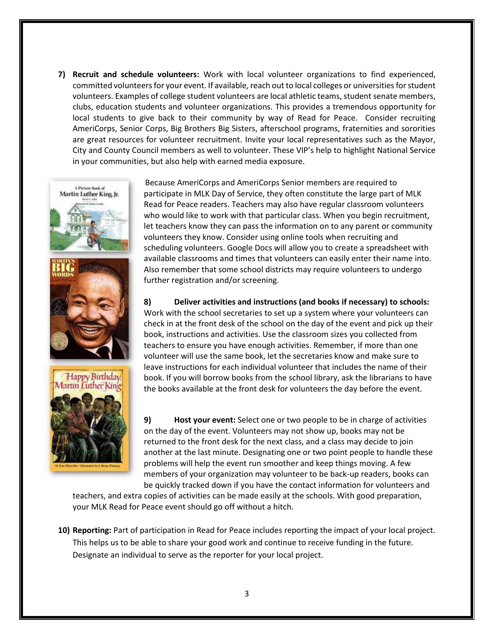**7) Recruit and schedule volunteers:** Work with local volunteer organizations to find experienced, committed volunteers for your event. If available, reach out to local colleges or universities for student volunteers. Examples of college student volunteers are local athletic teams, student senate members, clubs, education students and volunteer organizations. This provides a tremendous opportunity for local students to give back to their community by way of Read for Peace. Consider recruiting AmeriCorps, Senior Corps, Big Brothers Big Sisters, afterschool programs, fraternities and sororities are great resources for volunteer recruitment. Invite your local representatives such as the Mayor, City and County Council members as well to volunteer. These VIP's help to highlight National Service in your communities, but also help with earned media exposure.



Because AmeriCorps and AmeriCorps Senior members are required to participate in MLK Day of Service, they often constitute the large part of MLK Read for Peace readers. Teachers may also have regular classroom volunteers who would like to work with that particular class. When you begin recruitment, let teachers know they can pass the information on to any parent or community volunteers they know. Consider using online tools when recruiting and scheduling volunteers. Google Docs will allow you to create a spreadsheet with available classrooms and times that volunteers can easily enter their name into. Also remember that some school districts may require volunteers to undergo further registration and/or screening.

#### **8) Deliver activities and instructions (and books if necessary) to schools:**

Work with the school secretaries to set up a system where your volunteers can check in at the front desk of the school on the day of the event and pick up their book, instructions and activities. Use the classroom sizes you collected from teachers to ensure you have enough activities. Remember, if more than one volunteer will use the same book, let the secretaries know and make sure to leave instructions for each individual volunteer that includes the name of their book. If you will borrow books from the school library, ask the librarians to have the books available at the front desk for volunteers the day before the event.

**9) Host your event:** Select one or two people to be in charge of activities on the day of the event. Volunteers may not show up, books may not be returned to the front desk for the next class, and a class may decide to join another at the last minute. Designating one or two point people to handle these problems will help the event run smoother and keep things moving. A few members of your organization may volunteer to be back-up readers, books can be quickly tracked down if you have the contact information for volunteers and

teachers, and extra copies of activities can be made easily at the schools. With good preparation, your MLK Read for Peace event should go off without a hitch.

**10) Reporting:** Part of participation in Read for Peace includes reporting the impact of your local project. This helps us to be able to share your good work and continue to receive funding in the future. Designate an individual to serve as the reporter for your local project.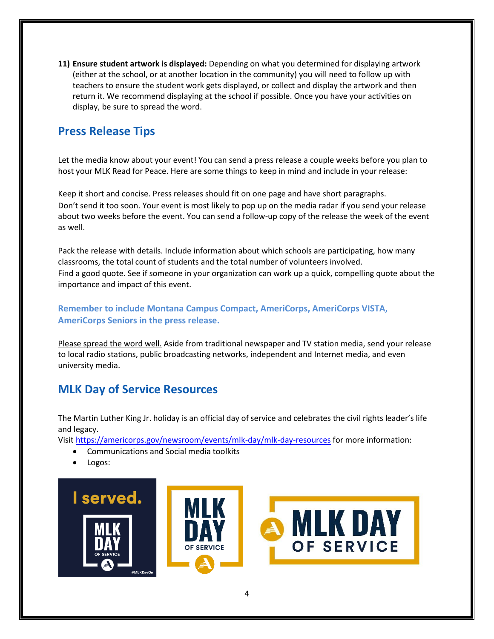**11) Ensure student artwork is displayed:** Depending on what you determined for displaying artwork (either at the school, or at another location in the community) you will need to follow up with teachers to ensure the student work gets displayed, or collect and display the artwork and then return it. We recommend displaying at the school if possible. Once you have your activities on display, be sure to spread the word.

### **Press Release Tips**

Let the media know about your event! You can send a press release a couple weeks before you plan to host your MLK Read for Peace. Here are some things to keep in mind and include in your release:

Keep it short and concise. Press releases should fit on one page and have short paragraphs. Don't send it too soon. Your event is most likely to pop up on the media radar if you send your release about two weeks before the event. You can send a follow-up copy of the release the week of the event as well.

Pack the release with details. Include information about which schools are participating, how many classrooms, the total count of students and the total number of volunteers involved. Find a good quote. See if someone in your organization can work up a quick, compelling quote about the importance and impact of this event.

**Remember to include Montana Campus Compact, AmeriCorps, AmeriCorps VISTA, AmeriCorps Seniors in the press release.** 

Please spread the word well. Aside from traditional newspaper and TV station media, send your release to local radio stations, public broadcasting networks, independent and Internet media, and even university media.

### **MLK Day of Service Resources**

The Martin Luther King Jr. holiday is an official day of service and celebrates the civil rights leader's life and legacy.

Visit<https://americorps.gov/newsroom/events/mlk-day/mlk-day-resources> for more information:

- Communications and Social media toolkits
- Logos:

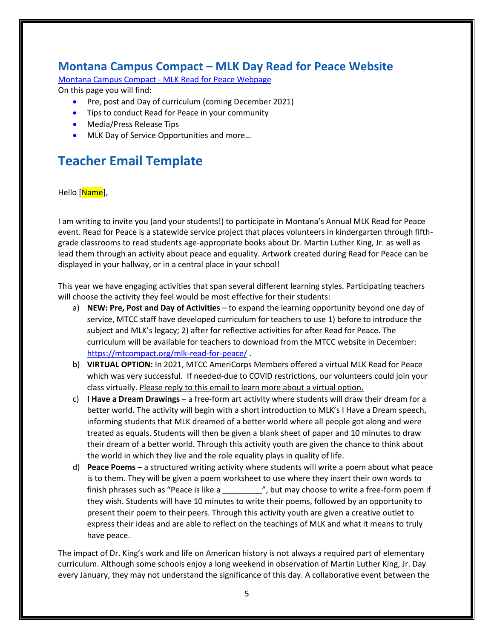### **Montana Campus Compact – MLK Day Read for Peace Website**

Montana Campus Compact - [MLK Read for Peace Webpage](https://mtcompact.org/mlk-read-for-peace/) On this page you will find:

- Pre, post and Day of curriculum (coming December 2021)
- Tips to conduct Read for Peace in your community
- Media/Press Release Tips
- MLK Day of Service Opportunities and more...

# **Teacher Email Template**

Hello [Name],

I am writing to invite you (and your students!) to participate in Montana's Annual MLK Read for Peace event. Read for Peace is a statewide service project that places volunteers in kindergarten through fifthgrade classrooms to read students age-appropriate books about Dr. Martin Luther King, Jr. as well as lead them through an activity about peace and equality. Artwork created during Read for Peace can be displayed in your hallway, or in a central place in your school!

This year we have engaging activities that span several different learning styles. Participating teachers will choose the activity they feel would be most effective for their students:

- a) **NEW: Pre, Post and Day of Activities**  to expand the learning opportunity beyond one day of service, MTCC staff have developed curriculum for teachers to use 1) before to introduce the subject and MLK's legacy; 2) after for reflective activities for after Read for Peace. The curriculum will be available for teachers to download from the MTCC website in December: <https://mtcompact.org/mlk-read-for-peace/> .
- b) **VIRTUAL OPTION:** In 2021, MTCC AmeriCorps Members offered a virtual MLK Read for Peace which was very successful. If needed-due to COVID restrictions, our volunteers could join your class virtually. Please reply to this email to learn more about a virtual option.
- c) **I Have a Dream Drawings** a free-form art activity where students will draw their dream for a better world. The activity will begin with a short introduction to MLK's I Have a Dream speech, informing students that MLK dreamed of a better world where all people got along and were treated as equals. Students will then be given a blank sheet of paper and 10 minutes to draw their dream of a better world. Through this activity youth are given the chance to think about the world in which they live and the role equality plays in quality of life.
- d) **Peace Poems** a structured writing activity where students will write a poem about what peace is to them. They will be given a poem worksheet to use where they insert their own words to finish phrases such as "Peace is like a \_\_\_\_\_\_\_\_\_\_\_\_\_", but may choose to write a free-form poem if they wish. Students will have 10 minutes to write their poems, followed by an opportunity to present their poem to their peers. Through this activity youth are given a creative outlet to express their ideas and are able to reflect on the teachings of MLK and what it means to truly have peace.

The impact of Dr. King's work and life on American history is not always a required part of elementary curriculum. Although some schools enjoy a long weekend in observation of Martin Luther King, Jr. Day every January, they may not understand the significance of this day. A collaborative event between the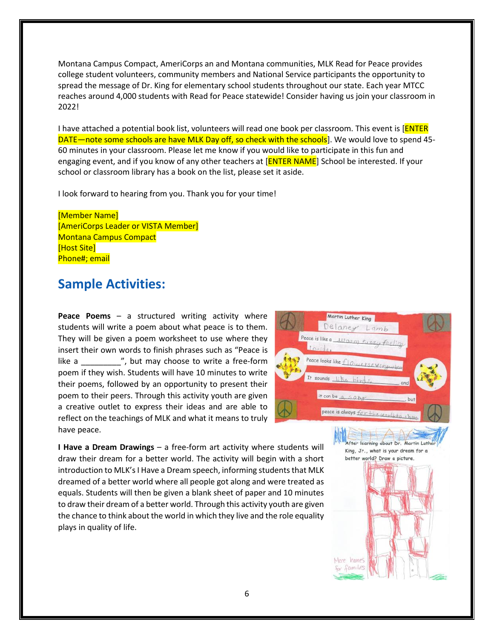Montana Campus Compact, AmeriCorps an and Montana communities, MLK Read for Peace provides college student volunteers, community members and National Service participants the opportunity to spread the message of Dr. King for elementary school students throughout our state. Each year MTCC reaches around 4,000 students with Read for Peace statewide! Consider having us join your classroom in 2022!

I have attached a potential book list, volunteers will read one book per classroom. This event is [ENTER DATE—note some schools are have MLK Day off, so check with the schools]. We would love to spend 45- 60 minutes in your classroom. Please let me know if you would like to participate in this fun and engaging event, and if you know of any other teachers at [**ENTER NAME**] School be interested. If your school or classroom library has a book on the list, please set it aside.

I look forward to hearing from you. Thank you for your time!

[Member Name] [AmeriCorps Leader or VISTA Member] Montana Campus Compact [Host Site] Phone#; email

## **Sample Activities:**

**Peace Poems** – a structured writing activity where students will write a poem about what peace is to them. They will be given a poem worksheet to use where they insert their own words to finish phrases such as "Peace is like a  $\blacksquare$ , but may choose to write a free-form poem if they wish. Students will have 10 minutes to write their poems, followed by an opportunity to present their poem to their peers. Through this activity youth are given a creative outlet to express their ideas and are able to reflect on the teachings of MLK and what it means to truly have peace.



**I Have a Dream Drawings** – a free-form art activity where students will draw their dream for a better world. The activity will begin with a short introduction to MLK's I Have a Dream speech, informing students that MLK dreamed of a better world where all people got along and were treated as equals. Students will then be given a blank sheet of paper and 10 minutes to draw their dream of a better world. Through this activity youth are given the chance to think about the world in which they live and the role equality plays in quality of life.

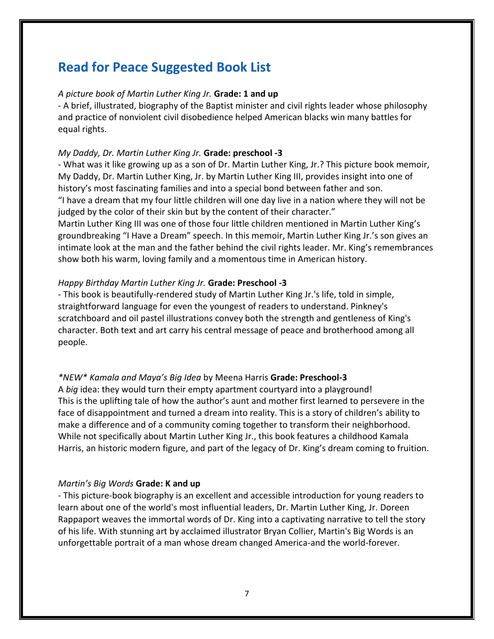## **Read for Peace Suggested Book List**

#### *A picture book of Martin Luther King Jr.* **Grade: 1 and up**

- A brief, illustrated, biography of the Baptist minister and civil rights leader whose philosophy and practice of nonviolent civil disobedience helped American blacks win many battles for equal rights.

#### *My Daddy, Dr. Martin Luther King Jr.* **Grade: preschool -3**

- What was it like growing up as a son of Dr. Martin Luther King, Jr.? This picture book memoir, My Daddy, Dr. Martin Luther King, Jr. by Martin Luther King III, provides insight into one of history's most fascinating families and into a special bond between father and son. "I have a dream that my four little children will one day live in a nation where they will not be judged by the color of their skin but by the content of their character." Martin Luther King III was one of those four little children mentioned in Martin Luther King's groundbreaking "I Have a Dream" speech. In this memoir, Martin Luther King Jr.'s son gives an

intimate look at the man and the father behind the civil rights leader. Mr. King's remembrances show both his warm, loving family and a momentous time in American history.

#### *Happy Birthday Martin Luther King Jr.* **Grade: Preschool -3**

- This book is beautifully-rendered study of Martin Luther King Jr.'s life, told in simple, straightforward language for even the youngest of readers to understand. Pinkney's scratchboard and oil pastel illustrations convey both the strength and gentleness of King's character. Both text and art carry his central message of peace and brotherhood among all people.

#### *\*NEW\* Kamala and Maya's Big Idea* by Meena Harris **Grade: Preschool-3**

A *big* idea: they would turn their empty apartment courtyard into a playground! This is the uplifting tale of how the author's aunt and mother first learned to persevere in the face of disappointment and turned a dream into reality. This is a story of children's ability to make a difference and of a community coming together to transform their neighborhood. While not specifically about Martin Luther King Jr., this book features a childhood Kamala Harris, an historic modern figure, and part of the legacy of Dr. King's dream coming to fruition.

#### *Martin's Big Words* **Grade: K and up**

- This picture-book biography is an excellent and accessible introduction for young readers to learn about one of the world's most influential leaders, Dr. Martin Luther King, Jr. Doreen Rappaport weaves the immortal words of Dr. King into a captivating narrative to tell the story of his life. With stunning art by acclaimed illustrator Bryan Collier, Martin's Big Words is an unforgettable portrait of a man whose dream changed America-and the world-forever.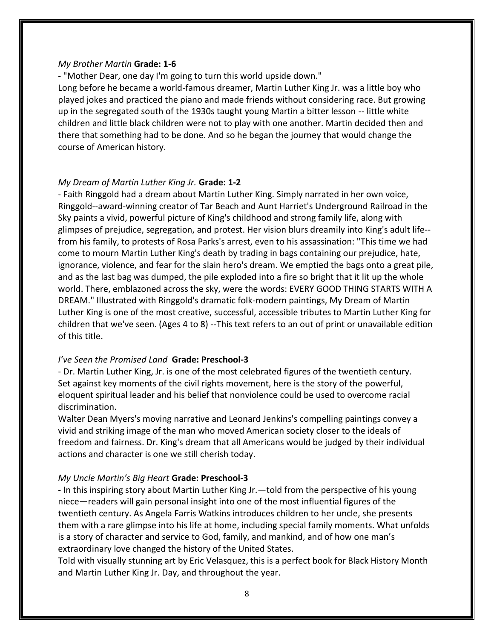#### *My Brother Martin* **Grade: 1-6**

- "Mother Dear, one day I'm going to turn this world upside down."

Long before he became a world-famous dreamer, Martin Luther King Jr. was a little boy who played jokes and practiced the piano and made friends without considering race. But growing up in the segregated south of the 1930s taught young Martin a bitter lesson -- little white children and little black children were not to play with one another. Martin decided then and there that something had to be done. And so he began the journey that would change the course of American history.

#### *My Dream of Martin Luther King Jr.* **Grade: 1-2**

- Faith Ringgold had a dream about Martin Luther King. Simply narrated in her own voice, Ringgold--award-winning creator of Tar Beach and Aunt Harriet's Underground Railroad in the Sky paints a vivid, powerful picture of King's childhood and strong family life, along with glimpses of prejudice, segregation, and protest. Her vision blurs dreamily into King's adult life- from his family, to protests of Rosa Parks's arrest, even to his assassination: "This time we had come to mourn Martin Luther King's death by trading in bags containing our prejudice, hate, ignorance, violence, and fear for the slain hero's dream. We emptied the bags onto a great pile, and as the last bag was dumped, the pile exploded into a fire so bright that it lit up the whole world. There, emblazoned across the sky, were the words: EVERY GOOD THING STARTS WITH A DREAM." Illustrated with Ringgold's dramatic folk-modern paintings, My Dream of Martin Luther King is one of the most creative, successful, accessible tributes to Martin Luther King for children that we've seen. (Ages 4 to 8) --This text refers to an out of print or unavailable edition of this title.

#### *I've Seen the Promised Land* **Grade: Preschool-3**

- Dr. Martin Luther King, Jr. is one of the most celebrated figures of the twentieth century. Set against key moments of the civil rights movement, here is the story of the powerful, eloquent spiritual leader and his belief that nonviolence could be used to overcome racial discrimination.

Walter Dean Myers's moving narrative and Leonard Jenkins's compelling paintings convey a vivid and striking image of the man who moved American society closer to the ideals of freedom and fairness. Dr. King's dream that all Americans would be judged by their individual actions and character is one we still cherish today.

#### *My Uncle Martin's Big Heart* **Grade: Preschool-3**

- In this inspiring story about Martin Luther King Jr.—told from the perspective of his young niece—readers will gain personal insight into one of the most influential figures of the twentieth century. As Angela Farris Watkins introduces children to her uncle, she presents them with a rare glimpse into his life at home, including special family moments. What unfolds is a story of character and service to God, family, and mankind, and of how one man's extraordinary love changed the history of the United States.

Told with visually stunning art by Eric Velasquez, this is a perfect book for Black History Month and Martin Luther King Jr. Day, and throughout the year.